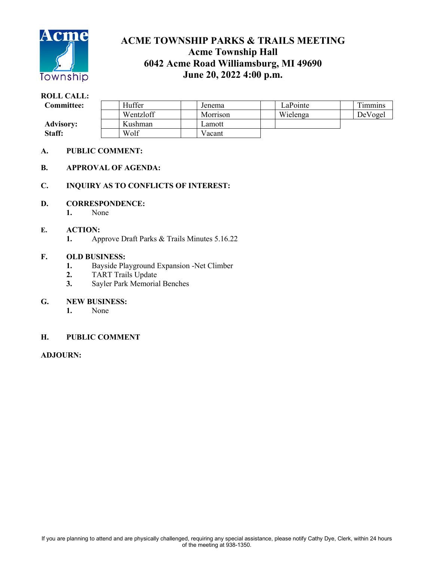

# **ACME TOWNSHIP PARKS & TRAILS MEETING Acme Township Hall 6042 Acme Road Williamsburg, MI 49690 June 20, 2022 4:00 p.m.**

#### **ROLL CALL:** Committee: | Huffer | Jenema | LaPointe | Timmins Wentzloff | Morrison | Wielenga | DeVogel Advisory: | | Kushman | | Lamott Staff: Wolf Vacant

#### **A. PUBLIC COMMENT:**

#### **B. APPROVAL OF AGENDA:**

#### **C. INQUIRY AS TO CONFLICTS OF INTEREST:**

#### **D. CORRESPONDENCE:**

**1.** None

#### **E. ACTION:**

**1.** Approve Draft Parks & Trails Minutes 5.16.22

#### **F. OLD BUSINESS:**

- **1.** Bayside Playground Expansion -Net Climber
- **2.** TART Trails Update
- **3.** Sayler Park Memorial Benches

#### **G. NEW BUSINESS:**

**1.** None

#### **H. PUBLIC COMMENT**

#### **ADJOURN:**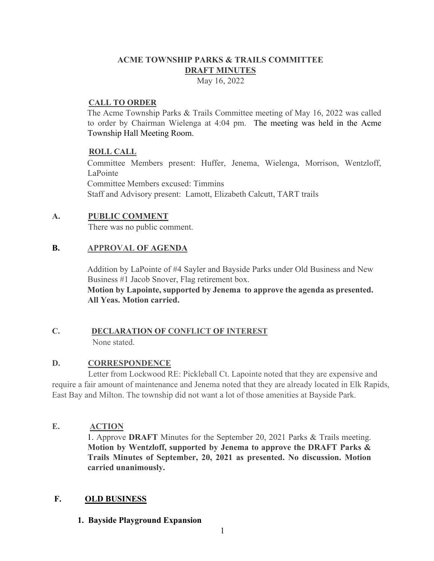# **ACME TOWNSHIP PARKS & TRAILS COMMITTEE DRAFT MINUTES**

May 16, 2022

# **CALL TO ORDER**

The Acme Township Parks & Trails Committee meeting of May 16, 2022 was called to order by Chairman Wielenga at 4:04 pm. The meeting was held in the Acme Township Hall Meeting Room.

# **ROLL CALL**

Committee Members present: Huffer, Jenema, Wielenga, Morrison, Wentzloff, LaPointe Committee Members excused: Timmins Staff and Advisory present: Lamott, Elizabeth Calcutt, TART trails

# **A. PUBLIC COMMENT**

There was no public comment.

# **B. APPROVAL OF AGENDA**

Addition by LaPointe of #4 Sayler and Bayside Parks under Old Business and New Business #1 Jacob Snover, Flag retirement box.

**Motion by Lapointe, supported by Jenema to approve the agenda as presented. All Yeas. Motion carried.**

#### **C. DECLARATION OF CONFLICT OF INTEREST** None stated.

# **D. CORRESPONDENCE**

 Letter from Lockwood RE: Pickleball Ct. Lapointe noted that they are expensive and require a fair amount of maintenance and Jenema noted that they are already located in Elk Rapids, East Bay and Milton. The township did not want a lot of those amenities at Bayside Park.

# **E. ACTION**

1. Approve **DRAFT** Minutes for the September 20, 2021 Parks & Trails meeting. **Motion by Wentzloff, supported by Jenema to approve the DRAFT Parks & Trails Minutes of September, 20, 2021 as presented. No discussion. Motion carried unanimously.** 

# **F. OLD BUSINESS**

# **1. Bayside Playground Expansion**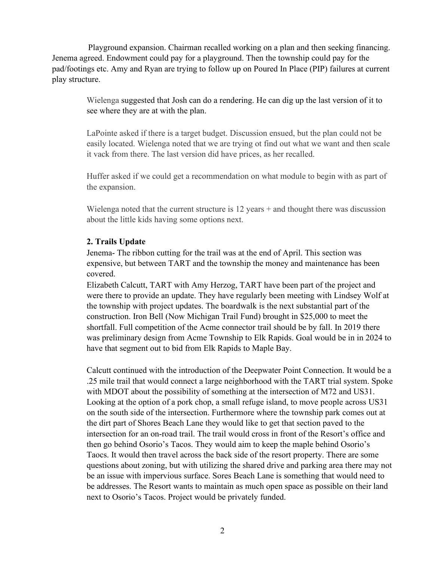Playground expansion. Chairman recalled working on a plan and then seeking financing. Jenema agreed. Endowment could pay for a playground. Then the township could pay for the pad/footings etc. Amy and Ryan are trying to follow up on Poured In Place (PIP) failures at current play structure.

> Wielenga suggested that Josh can do a rendering. He can dig up the last version of it to see where they are at with the plan.

LaPointe asked if there is a target budget. Discussion ensued, but the plan could not be easily located. Wielenga noted that we are trying ot find out what we want and then scale it vack from there. The last version did have prices, as her recalled.

Huffer asked if we could get a recommendation on what module to begin with as part of the expansion.

Wielenga noted that the current structure is 12 years + and thought there was discussion about the little kids having some options next.

#### **2. Trails Update**

Jenema- The ribbon cutting for the trail was at the end of April. This section was expensive, but between TART and the township the money and maintenance has been covered.

Elizabeth Calcutt, TART with Amy Herzog, TART have been part of the project and were there to provide an update. They have regularly been meeting with Lindsey Wolf at the township with project updates. The boardwalk is the next substantial part of the construction. Iron Bell (Now Michigan Trail Fund) brought in \$25,000 to meet the shortfall. Full competition of the Acme connector trail should be by fall. In 2019 there was preliminary design from Acme Township to Elk Rapids. Goal would be in in 2024 to have that segment out to bid from Elk Rapids to Maple Bay.

Calcutt continued with the introduction of the Deepwater Point Connection. It would be a .25 mile trail that would connect a large neighborhood with the TART trial system. Spoke with MDOT about the possibility of something at the intersection of M72 and US31. Looking at the option of a pork chop, a small refuge island, to move people across US31 on the south side of the intersection. Furthermore where the township park comes out at the dirt part of Shores Beach Lane they would like to get that section paved to the intersection for an on-road trail. The trail would cross in front of the Resort's office and then go behind Osorio's Tacos. They would aim to keep the maple behind Osorio's Taocs. It would then travel across the back side of the resort property. There are some questions about zoning, but with utilizing the shared drive and parking area there may not be an issue with impervious surface. Sores Beach Lane is something that would need to be addresses. The Resort wants to maintain as much open space as possible on their land next to Osorio's Tacos. Project would be privately funded.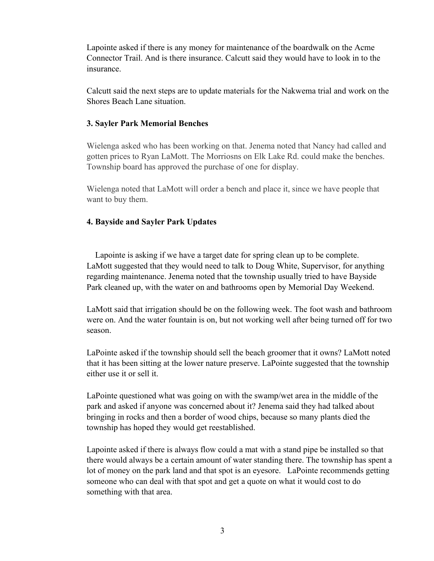Lapointe asked if there is any money for maintenance of the boardwalk on the Acme Connector Trail. And is there insurance. Calcutt said they would have to look in to the insurance.

Calcutt said the next steps are to update materials for the Nakwema trial and work on the Shores Beach Lane situation.

#### **3. Sayler Park Memorial Benches**

Wielenga asked who has been working on that. Jenema noted that Nancy had called and gotten prices to Ryan LaMott. The Morriosns on Elk Lake Rd. could make the benches. Township board has approved the purchase of one for display.

Wielenga noted that LaMott will order a bench and place it, since we have people that want to buy them.

# **4. Bayside and Sayler Park Updates**

 Lapointe is asking if we have a target date for spring clean up to be complete. LaMott suggested that they would need to talk to Doug White, Supervisor, for anything regarding maintenance. Jenema noted that the township usually tried to have Bayside Park cleaned up, with the water on and bathrooms open by Memorial Day Weekend.

LaMott said that irrigation should be on the following week. The foot wash and bathroom were on. And the water fountain is on, but not working well after being turned off for two season.

LaPointe asked if the township should sell the beach groomer that it owns? LaMott noted that it has been sitting at the lower nature preserve. LaPointe suggested that the township either use it or sell it.

LaPointe questioned what was going on with the swamp/wet area in the middle of the park and asked if anyone was concerned about it? Jenema said they had talked about bringing in rocks and then a border of wood chips, because so many plants died the township has hoped they would get reestablished.

Lapointe asked if there is always flow could a mat with a stand pipe be installed so that there would always be a certain amount of water standing there. The township has spent a lot of money on the park land and that spot is an eyesore. LaPointe recommends getting someone who can deal with that spot and get a quote on what it would cost to do something with that area.